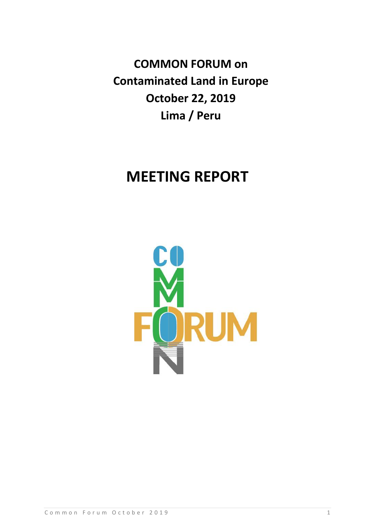**COMMON FORUM on Contaminated Land in Europe October 22, 2019 Lima / Peru**

# **MEETING REPORT**

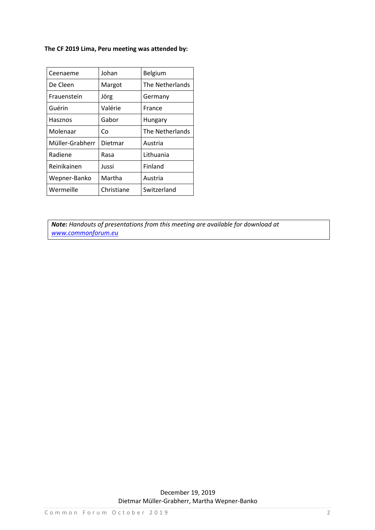### **The CF 2019 Lima, Peru meeting was attended by:**

| Ceenaeme        | Johan      | Belgium         |  |
|-----------------|------------|-----------------|--|
| De Cleen        | Margot     | The Netherlands |  |
| Frauenstein     | Jörg       | Germany         |  |
| Guérin          | Valérie    | France          |  |
| Hasznos         | Gabor      | Hungary         |  |
| Molenaar        | Co         | The Netherlands |  |
| Müller-Grabherr | Dietmar    | Austria         |  |
| Radiene         | Rasa       | Lithuania       |  |
| Reinikainen     | Jussi      | Finland         |  |
| Wepner-Banko    | Martha     | Austria         |  |
| Wermeille       | Christiane | Switzerland     |  |

*Note: Handouts of presentations from this meeting are available for download at [www.commonforum.eu](http://www.commonforum.eu/)*

> December 19, 2019 Dietmar Müller-Grabherr, Martha Wepner-Banko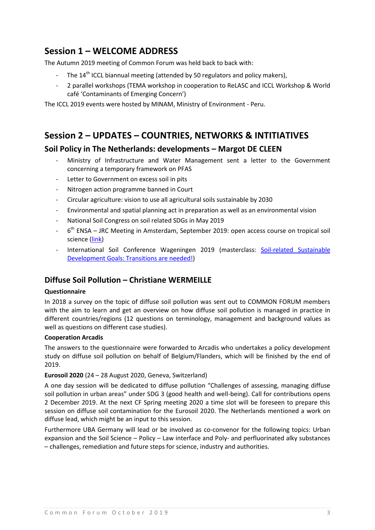# **Session 1 – WELCOME ADDRESS**

The Autumn 2019 meeting of Common Forum was held back to back with:

- The  $14<sup>th</sup>$  ICCL biannual meeting (attended by 50 regulators and policy makers).
- 2 parallel workshops (TEMA workshop in cooperation to ReLASC and ICCL Workshop & World café 'Contaminants of Emerging Concern')

The ICCL 2019 events were hosted by MINAM, Ministry of Environment - Peru.

# **Session 2 – UPDATES – COUNTRIES, NETWORKS & INTITIATIVES**

### **Soil Policy in The Netherlands: developments – Margot DE CLEEN**

- Ministry of Infrastructure and Water Management sent a letter to the Government concerning a temporary framework on PFAS
- Letter to Government on excess soil in pits
- Nitrogen action programme banned in Court
- Circular agriculture: vision to use all agricultural soils sustainable by 2030
- Environmental and spatial planning act in preparation as well as an environmental vision
- National Soil Congress on soil related SDGs in May 2019
- 6<sup>th</sup> ENSA JRC Meeting in Amsterdam, September 2019: open access course on tropical soil science [\(link\)](https://www.isric.org/news/first-mooc-tropical-soil-science-launched)
- International Soil Conference Wageningen 2019 (masterclass: Soil-related Sustainable [Development Goals: Transitions are needed!\)](https://wageningensoilconference.eu/2019/wp-content/uploads/2019/05/Masterclass-WSC2019-M31.pdf)

### **Diffuse Soil Pollution – Christiane WERMEILLE**

#### **Questionnaire**

In 2018 a survey on the topic of diffuse soil pollution was sent out to COMMON FORUM members with the aim to learn and get an overview on how diffuse soil pollution is managed in practice in different countries/regions (12 questions on terminology, management and background values as well as questions on different case studies).

#### **Cooperation Arcadis**

The answers to the questionnaire were forwarded to Arcadis who undertakes a policy development study on diffuse soil pollution on behalf of Belgium/Flanders, which will be finished by the end of 2019.

#### **Eurosoil 2020** (24 – 28 August 2020, Geneva, Switzerland)

A one day session will be dedicated to diffuse pollution "Challenges of assessing, managing diffuse soil pollution in urban areas" under SDG 3 (good health and well-being). Call for contributions opens 2 December 2019. At the next CF Spring meeting 2020 a time slot will be foreseen to prepare this session on diffuse soil contamination for the Eurosoil 2020. The Netherlands mentioned a work on diffuse lead, which might be an input to this session.

Furthermore UBA Germany will lead or be involved as co-convenor for the following topics: Urban expansion and the Soil Science – Policy – Law interface and Poly- and perfluorinated alky substances – challenges, remediation and future steps for science, industry and authorities.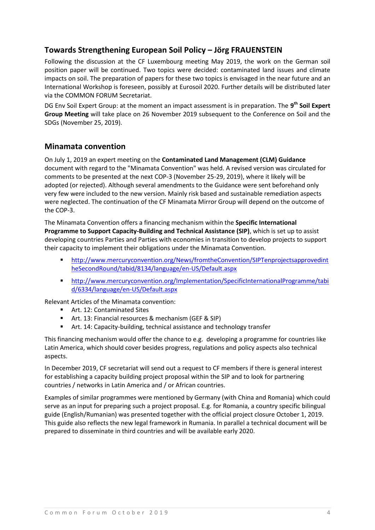## **Towards Strengthening European Soil Policy – Jörg FRAUENSTEIN**

Following the discussion at the CF Luxembourg meeting May 2019, the work on the German soil position paper will be continued. Two topics were decided: contaminated land issues and climate impacts on soil. The preparation of papers for these two topics is envisaged in the near future and an International Workshop is foreseen, possibly at Eurosoil 2020. Further details will be distributed later via the COMMON FORUM Secretariat.

DG Env Soil Expert Group: at the moment an impact assessment is in preparation. The **9 th Soil Expert Group Meeting** will take place on 26 November 2019 subsequent to the Conference on Soil and the SDGs (November 25, 2019).

### **Minamata convention**

On July 1, 2019 an expert meeting on the **Contaminated Land Management (CLM) Guidance** document with regard to the "Minamata Convention" was held. A revised version was circulated for comments to be presented at the next COP-3 (November 25-29, 2019), where it likely will be adopted (or rejected). Although several amendments to the Guidance were sent beforehand only very few were included to the new version. Mainly risk based and sustainable remediation aspects were neglected. The continuation of the CF Minamata Mirror Group will depend on the outcome of the COP-3.

The Minamata Convention offers a financing mechanism within the **Specific International Programme to Support Capacity-Building and Technical Assistance (SIP)**, which is set up to assist developing countries Parties and Parties with economies in transition to develop projects to support their capacity to implement their obligations under the Minamata Convention.

- [http://www.mercuryconvention.org/News/fromtheConvention/SIPTenprojectsapprovedint](http://www.mercuryconvention.org/News/fromtheConvention/SIPTenprojectsapprovedintheSecondRound/tabid/8134/language/en-US/Default.aspx) [heSecondRound/tabid/8134/language/en-US/Default.aspx](http://www.mercuryconvention.org/News/fromtheConvention/SIPTenprojectsapprovedintheSecondRound/tabid/8134/language/en-US/Default.aspx)
- [http://www.mercuryconvention.org/Implementation/SpecificInternationalProgramme/tabi](http://www.mercuryconvention.org/Implementation/SpecificInternationalProgramme/tabid/6334/language/en-US/Default.aspx) [d/6334/language/en-US/Default.aspx](http://www.mercuryconvention.org/Implementation/SpecificInternationalProgramme/tabid/6334/language/en-US/Default.aspx)

Relevant Articles of the Minamata convention:

- Art. 12: Contaminated Sites
- Art. 13: Financial resources & mechanism (GEF & SIP)
- Art. 14: Capacity-building, technical assistance and technology transfer

This financing mechanism would offer the chance to e.g. developing a programme for countries like Latin America, which should cover besides progress, regulations and policy aspects also technical aspects.

In December 2019, CF secretariat will send out a request to CF members if there is general interest for establishing a capacity building project proposal within the SIP and to look for partnering countries / networks in Latin America and / or African countries.

Examples of similar programmes were mentioned by Germany (with China and Romania) which could serve as an input for preparing such a project proposal. E.g. for Romania, a country specific bilingual guide (English/Rumanian) was presented together with the official project closure October 1, 2019. This guide also reflects the new legal framework in Rumania. In parallel a technical document will be prepared to disseminate in third countries and will be available early 2020.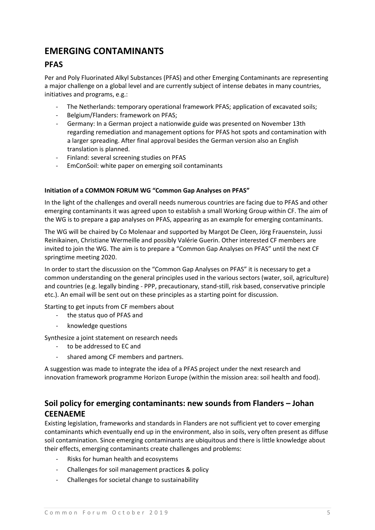# **EMERGING CONTAMINANTS**

### **PFAS**

Per and Poly Fluorinated Alkyl Substances (PFAS) and other Emerging Contaminants are representing a major challenge on a global level and are currently subject of intense debates in many countries, initiatives and programs, e.g.:

- The Netherlands: temporary operational framework PFAS; application of excavated soils;
- Belgium/Flanders: framework on PFAS;
- Germany: In a German project a nationwide guide was presented on November 13th regarding remediation and management options for PFAS hot spots and contamination with a larger spreading. After final approval besides the German version also an English translation is planned.
- Finland: several screening studies on PFAS
- EmConSoil: white paper on emerging soil contaminants

#### **Initiation of a COMMON FORUM WG "Common Gap Analyses on PFAS"**

In the light of the challenges and overall needs numerous countries are facing due to PFAS and other emerging contaminants it was agreed upon to establish a small Working Group within CF. The aim of the WG is to prepare a gap analyses on PFAS, appearing as an example for emerging contaminants.

The WG will be chaired by Co Molenaar and supported by Margot De Cleen, Jörg Frauenstein, Jussi Reinikainen, Christiane Wermeille and possibly Valérie Guerin. Other interested CF members are invited to join the WG. The aim is to prepare a "Common Gap Analyses on PFAS" until the next CF springtime meeting 2020.

In order to start the discussion on the "Common Gap Analyses on PFAS" it is necessary to get a common understanding on the general principles used in the various sectors (water, soil, agriculture) and countries (e.g. legally binding - PPP, precautionary, stand-still, risk based, conservative principle etc.). An email will be sent out on these principles as a starting point for discussion.

#### Starting to get inputs from CF members about

- the status quo of PFAS and
- knowledge questions

Synthesize a joint statement on research needs

- to be addressed to EC and
- shared among CF members and partners.

A suggestion was made to integrate the idea of a PFAS project under the next research and innovation framework programme Horizon Europe (within the mission area: soil health and food).

# **Soil policy for emerging contaminants: new sounds from Flanders – Johan CEENAEME**

Existing legislation, frameworks and standards in Flanders are not sufficient yet to cover emerging contaminants which eventually end up in the environment, also in soils, very often present as diffuse soil contamination. Since emerging contaminants are ubiquitous and there is little knowledge about their effects, emerging contaminants create challenges and problems:

- Risks for human health and ecosystems
- Challenges for soil management practices & policy
- Challenges for societal change to sustainability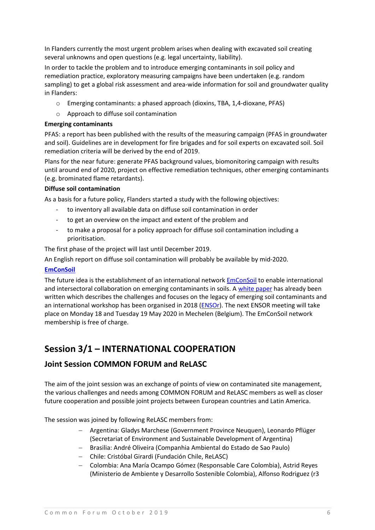In Flanders currently the most urgent problem arises when dealing with excavated soil creating several unknowns and open questions (e.g. legal uncertainty, liability).

In order to tackle the problem and to introduce emerging contaminants in soil policy and remediation practice, exploratory measuring campaigns have been undertaken (e.g. random sampling) to get a global risk assessment and area-wide information for soil and groundwater quality in Flanders:

- o Emerging contaminants: a phased approach (dioxins, TBA, 1,4-dioxane, PFAS)
- o Approach to diffuse soil contamination

### **Emerging contaminants**

PFAS: a report has been published with the results of the measuring campaign (PFAS in groundwater and soil). Guidelines are in development for fire brigades and for soil experts on excavated soil. Soil remediation criteria will be derived by the end of 2019.

Plans for the near future: generate PFAS background values, biomonitoring campaign with results until around end of 2020, project on effective remediation techniques, other emerging contaminants (e.g. brominated flame retardants).

### **Diffuse soil contamination**

As a basis for a future policy, Flanders started a study with the following objectives:

- to inventory all available data on diffuse soil contamination in order
- to get an overview on the impact and extent of the problem and
- to make a proposal for a policy approach for diffuse soil contamination including a prioritisation.

The first phase of the project will last until December 2019.

An English report on diffuse soil contamination will probably be available by mid-2020.

### **[EmConSoil](http://www.ovamenglish.be/emconsoil)**

The future idea is the establishment of an international network [EmConSoil](http://www.ovamenglish.be/emconsoil) to enable international and intersectoral collaboration on emerging contaminants in soils. A [white paper](https://www.ovamenglish.be/sites/default/files/atoms/files/White%20paper%20Emconsoil%20CHALLENGES%20FOR%20EMERGING%20SOIL%20CONTAMINANT%20GOVERNANCE%20AND%20POLICY.pdf) has already been written which describes the challenges and focuses on the legacy of emerging soil contaminants and an international workshop has been organised in 2018 [\(ENSOr\)](https://www.2mpact.be/ensor). The next ENSOR meeting will take place on Monday 18 and Tuesday 19 May 2020 in Mechelen (Belgium). The EmConSoil network membership is free of charge.

# **Session 3/1 – INTERNATIONAL COOPERATION**

### **Joint Session COMMON FORUM and ReLASC**

The aim of the joint session was an exchange of points of view on contaminated site management, the various challenges and needs among COMMON FORUM and ReLASC members as well as closer future cooperation and possible joint projects between European countries and Latin America.

The session was joined by following ReLASC members from:

- Argentina: Gladys Marchese (Government Province Neuquen), Leonardo Pflüger (Secretariat of Environment and Sustainable Development of Argentina)
- Brasilia: André Oliveira (Companhia Ambiental do Estado de Sao Paulo)
- Chile: Cristóbal Girardi (Fundación Chile, ReLASC)
- Colombia: Ana María Ocampo Gómez (Responsable Care Colombia), Astrid Reyes (Ministerio de Ambiente y Desarrollo Sostenible Colombia), Alfonso Rodriguez (r3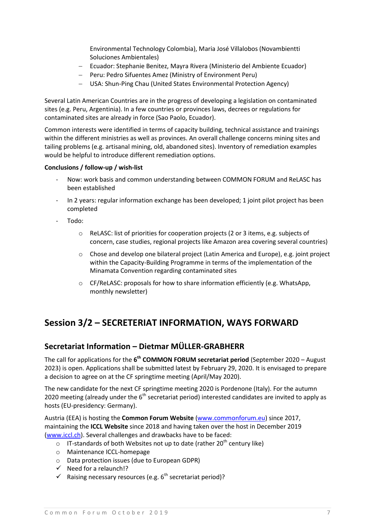Environmental Technology Colombia), Maria José Villalobos (Novambientti Soluciones Ambientales)

- Ecuador: Stephanie Benitez, Mayra Rivera (Ministerio del Ambiente Ecuador)
- Peru: Pedro Sifuentes Amez (Ministry of Environment Peru)
- USA: Shun-Ping Chau (United States Environmental Protection Agency)

Several Latin American Countries are in the progress of developing a legislation on contaminated sites (e.g. Peru, Argentinia). In a few countries or provinces laws, decrees or regulations for contaminated sites are already in force (Sao Paolo, Ecuador).

Common interests were identified in terms of capacity building, technical assistance and trainings within the different ministries as well as provinces. An overall challenge concerns mining sites and tailing problems (e.g. artisanal mining, old, abandoned sites). Inventory of remediation examples would be helpful to introduce different remediation options.

#### **Conclusions / follow-up / wish-list**

- Now: work basis and common understanding between COMMON FORUM and ReLASC has been established
- In 2 years: regular information exchange has been developed; 1 joint pilot project has been completed
- Todo:
	- o ReLASC: list of priorities for cooperation projects (2 or 3 items, e.g. subjects of concern, case studies, regional projects like Amazon area covering several countries)
	- $\circ$  Chose and develop one bilateral project (Latin America and Europe), e.g. joint project within the Capacity-Building Programme in terms of the implementation of the Minamata Convention regarding contaminated sites
	- $\circ$  CF/ReLASC: proposals for how to share information efficiently (e.g. WhatsApp, monthly newsletter)

# **Session 3/2 – SECRETERIAT INFORMATION, WAYS FORWARD**

### **Secretariat Information – Dietmar MÜLLER-GRABHERR**

The call for applications for the **6 th COMMON FORUM secretariat period** (September 2020 – August 2023) is open. Applications shall be submitted latest by February 29, 2020. It is envisaged to prepare a decision to agree on at the CF springtime meeting (April/May 2020).

The new candidate for the next CF springtime meeting 2020 is Pordenone (Italy). For the autumn 2020 meeting (already under the  $6<sup>th</sup>$  secretariat period) interested candidates are invited to apply as hosts (EU-presidency: Germany).

Austria (EEA) is hosting the **Common Forum Website** [\(www.commonforum.eu\)](http://www.commonforum.eu/) since 2017, maintaining the **ICCL Website** since 2018 and having taken over the host in December 2019 [\(www.iccl.ch\)](http://www.iccl.ch/). Several challenges and drawbacks have to be faced:

- $\circ$  IT-standards of both Websites not up to date (rather 20<sup>th</sup> century like)
- o Maintenance ICCL-homepage
- o Data protection issues (due to European GDPR)
- $\checkmark$  Need for a relaunch!?
- $\checkmark$  Raising necessary resources (e.g. 6<sup>th</sup> secretariat period)?